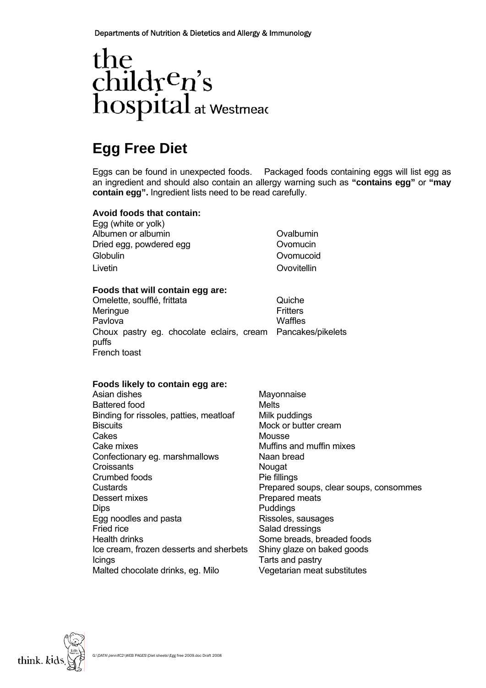Departments of Nutrition & Dietetics and Allergy & Immunology

# $\begin{array}{l} the\\ child r^c n^{\prime}s\\ hospital_{at\,wise a} \end{array}$

# **Egg Free Diet**

Eggs can be found in unexpected foods. Packaged foods containing eggs will list egg as an ingredient and should also contain an allergy warning such as **"contains egg"** or **"may contain egg".** Ingredient lists need to be read carefully.

#### **Avoid foods that contain:**

Egg (white or yolk) Albumen or albumin **Albumen** or albumin Dried egg, powdered egg and a community of Diversion Covomucing Globulin Ovomucoid Livetin Ovovitellin

#### **Foods that will contain egg are:**

Omelette, soufflé, frittata Meringue **Meringue Fritters** Pavlova **Waffles** Choux pastry eg. chocolate eclairs, cream Pancakes/pikelets puffs French toast

#### **Foods likely to contain egg are:**

Asian dishes Mayonnaise Battered food Melts Binding for rissoles, patties, meatloaf Milk puddings Biscuits Mock or butter cream Cakes Mousse Cake mixes Muffins and muffin mixes Confectionary eg. marshmallows Naan bread Croissants Nougat Crumbed foods Pie fillings Dessert mixes **Prepared meats** Dips Puddings Egg noodles and pasta **Rissoles**, sausages Fried rice **Salad dressings Salad dressings** Health drinks Some breads, breaded foods Ice cream, frozen desserts and sherbets Shiny glaze on baked goods Icings Tarts and pastry Malted chocolate drinks, eg. Milo Vegetarian meat substitutes

Custards Prepared soups, clear soups, consommes

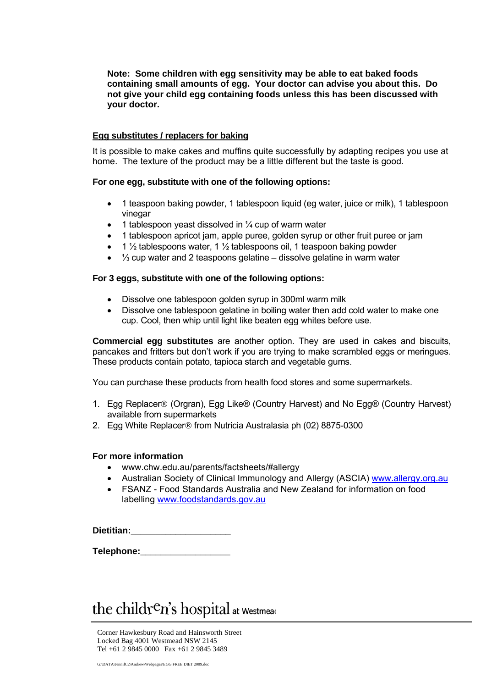**Note: Some children with egg sensitivity may be able to eat baked foods containing small amounts of egg. Your doctor can advise you about this. Do not give your child egg containing foods unless this has been discussed with your doctor.** 

#### **Egg substitutes / replacers for baking**

It is possible to make cakes and muffins quite successfully by adapting recipes you use at home. The texture of the product may be a little different but the taste is good.

#### **For one egg, substitute with one of the following options:**

- 1 teaspoon baking powder, 1 tablespoon liquid (eq water, juice or milk), 1 tablespoon vinegar
- 1 tablespoon yeast dissolved in  $\frac{1}{4}$  cup of warm water
- 1 tablespoon apricot jam, apple puree, golden syrup or other fruit puree or jam
- 1  $\frac{1}{2}$  tablespoons water, 1  $\frac{1}{2}$  tablespoons oil, 1 teaspoon baking powder
- ⅓ cup water and 2 teaspoons gelatine dissolve gelatine in warm water

#### **For 3 eggs, substitute with one of the following options:**

- Dissolve one tablespoon golden syrup in 300ml warm milk
- Dissolve one tablespoon gelatine in boiling water then add cold water to make one cup. Cool, then whip until light like beaten egg whites before use.

**Commercial egg substitutes** are another option. They are used in cakes and biscuits, pancakes and fritters but don't work if you are trying to make scrambled eggs or meringues. These products contain potato, tapioca starch and vegetable gums.

You can purchase these products from health food stores and some supermarkets.

- 1. Egg Replacer® (Orgran), Egg Like® (Country Harvest) and No Egg® (Country Harvest) available from supermarkets
- 2. Egg White Replacer® from Nutricia Australasia ph (02) 8875-0300

#### **For more information**

- www.chw.edu.au/parents/factsheets/#allergy
- Australian Society of Clinical Immunology and Allergy (ASCIA) [www.allergy.org.au](http://www.allergy.org.au/)
- FSANZ Food Standards Australia and New Zealand for information on food labelling [www.foodstandards.gov.au](http://www.foodstandards.gov.au/)

**Dietitian:\_\_\_\_\_\_\_\_\_\_\_\_\_\_\_\_\_\_\_\_** 

**Telephone:\_\_\_\_\_\_\_\_\_\_\_\_\_\_\_\_\_\_** 

# the children's hospital at Westmear

Corner Hawkesbury Road and Hainsworth Street Locked Bag 4001 Westmead NSW 2145 Tel +61 2 9845 0000 Fax +61 2 9845 3489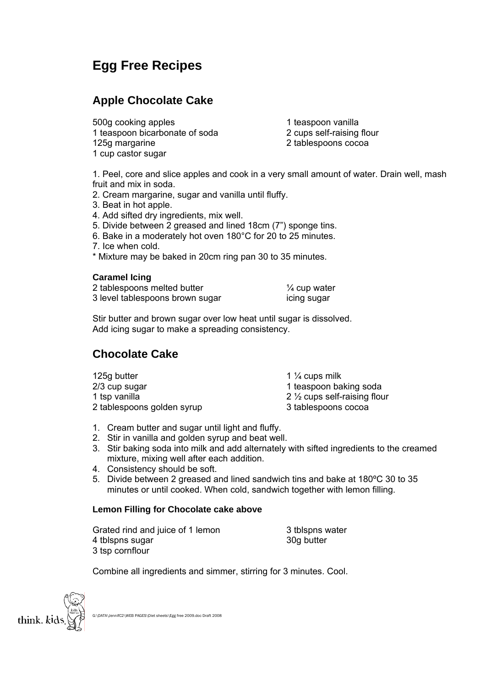## **Egg Free Recipes**

## **Apple Chocolate Cake**

500g cooking apples 1 teaspoon bicarbonate of soda 125g margarine 1 cup castor sugar

1 teaspoon vanilla

2 cups self-raising flour

2 tablespoons cocoa

1. Peel, core and slice apples and cook in a very small amount of water. Drain well, mash fruit and mix in soda.

- 2. Cream margarine, sugar and vanilla until fluffy.
- 3. Beat in hot apple.
- 4. Add sifted dry ingredients, mix well.
- 5. Divide between 2 greased and lined 18cm (7") sponge tins.
- 6. Bake in a moderately hot oven 180°C for 20 to 25 minutes.
- 7. Ice when cold.

\* Mixture may be baked in 20cm ring pan 30 to 35 minutes.

#### **Caramel Icing**

| 2 tablespoons melted butter     | $\frac{1}{4}$ cup water |
|---------------------------------|-------------------------|
| 3 level tablespoons brown sugar | icing sugar             |

Stir butter and brown sugar over low heat until sugar is dissolved. Add icing sugar to make a spreading consistency.

## **Chocolate Cake**

| 1 $\frac{1}{4}$ cups milk               |
|-----------------------------------------|
| 1 teaspoon baking soda                  |
| 2 $\frac{1}{2}$ cups self-raising flour |
| 3 tablespoons cocoa                     |
|                                         |

- 1. Cream butter and sugar until light and fluffy.
- 2. Stir in vanilla and golden syrup and beat well.
- 3. Stir baking soda into milk and add alternately with sifted ingredients to the creamed mixture, mixing well after each addition.
- 4. Consistency should be soft.
- 5. Divide between 2 greased and lined sandwich tins and bake at 180ºC 30 to 35 minutes or until cooked. When cold, sandwich together with lemon filling.

#### **Lemon Filling for Chocolate cake above**

Grated rind and juice of 1 lemon 4 tblspns sugar 3 tsp cornflour

3 tblspns water 30g butter

Combine all ingredients and simmer, stirring for 3 minutes. Cool.



G:\DATA\JennifC2\WEB PAGES\Diet sheets\Egg free 2009.doc Draft 2008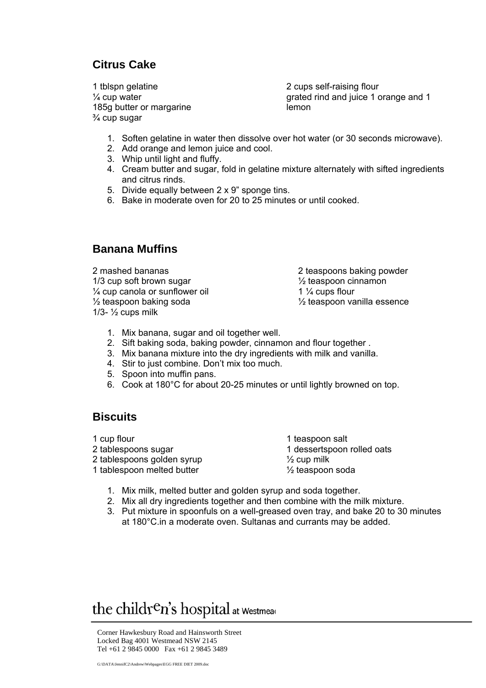## **Citrus Cake**

1 tblspn gelatine ¼ cup water 185g butter or margarine ¾ cup sugar

2 cups self-raising flour grated rind and juice 1 orange and 1 lemon

- 1. Soften gelatine in water then dissolve over hot water (or 30 seconds microwave).
- 2. Add orange and lemon juice and cool.
- 3. Whip until light and fluffy.
- 4. Cream butter and sugar, fold in gelatine mixture alternately with sifted ingredients and citrus rinds.
- 5. Divide equally between 2 x 9" sponge tins.
- 6. Bake in moderate oven for 20 to 25 minutes or until cooked.

#### **Banana Muffins**

2 mashed bananas 2 teaspoons baking powder 1/3 cup soft brown sugar 1/3 cup soft brown sugar  $\frac{1}{4}$  cup canola or sunflower oil  $\frac{1}{4}$  cups flour  $\frac{1}{2}$  teaspoon baking soda  $\frac{1}{2}$  teaspoon vanilla essence 1/3- $\frac{1}{2}$  cups milk

- 1. Mix banana, sugar and oil together well.
- 2. Sift baking soda, baking powder, cinnamon and flour together .
- 3. Mix banana mixture into the dry ingredients with milk and vanilla.
- 4. Stir to just combine. Don't mix too much.
- 5. Spoon into muffin pans.
- 6. Cook at 180°C for about 20-25 minutes or until lightly browned on top.

#### **Biscuits**

1 cup flour 2 tablespoons sugar 2 tablespoons golden syrup 1 tablespoon melted butter

1 teaspoon salt 1 dessertspoon rolled oats  $\frac{1}{2}$  cup milk ½ teaspoon soda

- 1. Mix milk, melted butter and golden syrup and soda together.
- 2. Mix all dry ingredients together and then combine with the milk mixture.
- 3. Put mixture in spoonfuls on a well-greased oven tray, and bake 20 to 30 minutes at 180°C.in a moderate oven. Sultanas and currants may be added.

# the children's hospital at Westmear

Corner Hawkesbury Road and Hainsworth Street Locked Bag 4001 Westmead NSW 2145 Tel +61 2 9845 0000 Fax +61 2 9845 3489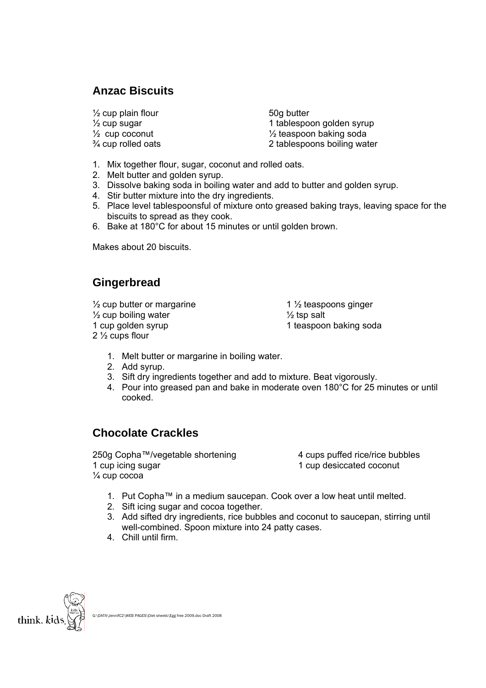## **Anzac Biscuits**

 $\frac{1}{2}$  cup plain flour<br> $\frac{1}{2}$  cup sugar<br> $\frac{1}{2}$  cup sugar

1 tablespoon golden syrup  $\frac{1}{2}$  cup coconut  $\frac{1}{2}$  teaspoon baking soda  $\frac{3}{4}$  cup rolled oats  $\frac{2}{10}$  tablespoons boiling water

- 1. Mix together flour, sugar, coconut and rolled oats.
- 2. Melt butter and golden syrup.
- 3. Dissolve baking soda in boiling water and add to butter and golden syrup.
- 4. Stir butter mixture into the dry ingredients.
- 5. Place level tablespoonsful of mixture onto greased baking trays, leaving space for the biscuits to spread as they cook.
- 6. Bake at 180°C for about 15 minutes or until golden brown.

Makes about 20 biscuits.

## **Gingerbread**

- $\frac{1}{2}$  cup butter or margarine
- ½ cup boiling water
- 1 cup golden syrup
- 2 ½ cups flour

1 ½ teaspoons ginger  $\frac{1}{2}$  tsp salt 1 teaspoon baking soda

- 1. Melt butter or margarine in boiling water.
- 2. Add syrup.
- 3. Sift dry ingredients together and add to mixture. Beat vigorously.
- 4. Pour into greased pan and bake in moderate oven 180°C for 25 minutes or until cooked.

### **Chocolate Crackles**

250g Copha™/vegetable shortening 4 cups puffed rice/rice bubbles 1 cup icing sugar 1 cup desiccated coconut ¼ cup cocoa

- 1. Put Copha™ in a medium saucepan. Cook over a low heat until melted.
- 2. Sift icing sugar and cocoa together.
- 3. Add sifted dry ingredients, rice bubbles and coconut to saucepan, stirring until well-combined. Spoon mixture into 24 patty cases.
- 4. Chill until firm.

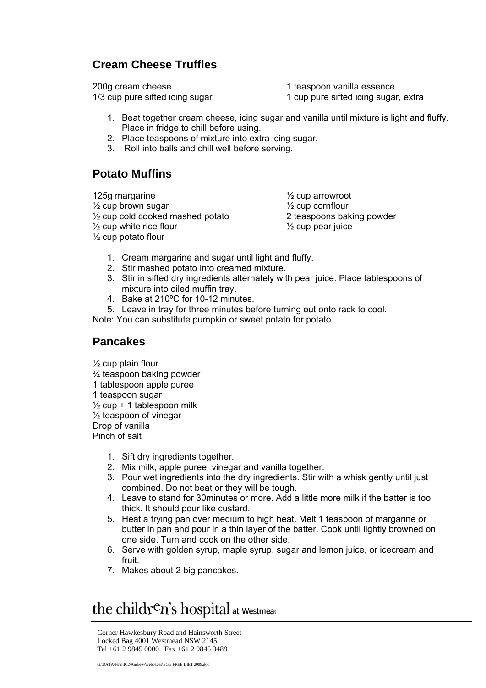## **Cream Cheese Truffles**

200g cream cheese 1/3 cup pure sifted icing sugar

1 teaspoon vanilla essence

1 cup pure sifted icing sugar, extra

- 1. Beat together cream cheese, icing sugar and vanilla until mixture is light and fluffy. Place in fridge to chill before using.
- 2. Place teaspoons of mixture into extra icing sugar.
- 3. Roll into balls and chill well before serving.

### **Potato Muffins**

125g margarine ½ cup brown sugar ½ cup cold cooked mashed potato  $\frac{1}{2}$  cup white rice flour ½ cup potato flour

½ cup arrowroot ½ cup cornflour 2 teaspoons baking powder  $\frac{1}{2}$  cup pear juice

- 1. Cream margarine and sugar until light and fluffy.
- 2. Stir mashed potato into creamed mixture.
- 3. Stir in sifted dry ingredients alternately with pear juice. Place tablespoons of mixture into oiled muffin tray.
- 4. Bake at 210ºC for 10-12 minutes.
- 5. Leave in tray for three minutes before turning out onto rack to cool.

Note: You can substitute pumpkin or sweet potato for potato.

#### **Pancakes**

½ cup plain flour ¾ teaspoon baking powder 1 tablespoon apple puree 1 teaspoon sugar  $\frac{1}{2}$  cup + 1 tablespoon milk ½ teaspoon of vinegar Drop of vanilla Pinch of salt

- 1. Sift dry ingredients together.
- 2. Mix milk, apple puree, vinegar and vanilla together.
- 3. Pour wet ingredients into the dry ingredients. Stir with a whisk gently until just combined. Do not beat or they will be tough.
- 4. Leave to stand for 30minutes or more. Add a little more milk if the batter is too thick. It should pour like custard.
- 5. Heat a frying pan over medium to high heat. Melt 1 teaspoon of margarine or butter in pan and pour in a thin layer of the batter. Cook until lightly browned on one side. Turn and cook on the other side.
- 6. Serve with golden syrup, maple syrup, sugar and lemon juice, or icecream and fruit.
- 7. Makes about 2 big pancakes.

# the children's hospital at Westmear

Corner Hawkesbury Road and Hainsworth Street Locked Bag 4001 Westmead NSW 2145 Tel +61 2 9845 0000 Fax +61 2 9845 3489